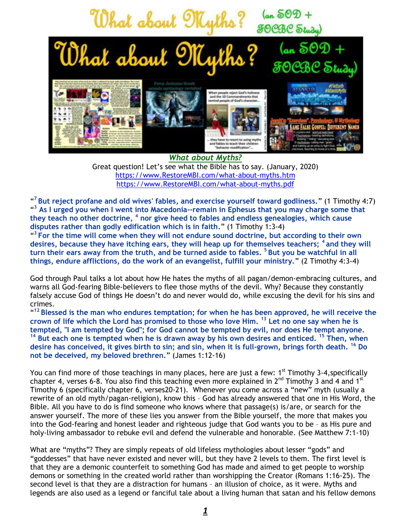

*What about Myths?*  Great question! Let's see what the Bible has to say. (January, 2020) [https://www.RestoreMBI.com/what-about-myths.htm](https://www.restorembi.com/what-about-myths.htm) [https://www.RestoreMBI.com/what-about-myths.pdf](https://www.restorembi.com/what-about-myths.pdf)

" **<sup>7</sup>But reject profane and old wives' fables, and exercise yourself toward godliness.**" (1 Timothy 4:7) <sup>43</sup> As I urged you when I went into Macedonia--remain in Ephesus that you may charge some that **they teach no other doctrine, <sup>4</sup> nor give heed to fables and endless genealogies, which cause disputes rather than godly edification which is in faith.**" (1 Timothy 1:3-4)

<sup>43</sup> For the time will come when they will not endure sound doctrine, but according to their own **desires, because they have itching ears, they will heap up for themselves teachers; <sup>4</sup>and they will turn their ears away from the truth, and be turned aside to fables. <sup>5</sup>But you be watchful in all things, endure afflictions, do the work of an evangelist, fulfill your ministry.**" (2 Timothy 4:3-4)

God through Paul talks a lot about how He hates the myths of all pagan/demon-embracing cultures, and warns all God-fearing Bible-believers to flee those myths of the devil. Why? Because they constantly falsely accuse God of things He doesn't do and never would do, while excusing the devil for his sins and crimes.

" **<sup>12</sup>Blessed is the man who endures temptation; for when he has been approved, he will receive the crown of life which the Lord has promised to those who love Him. <sup>13</sup> Let no one say when he is tempted, "I am tempted by God"; for God cannot be tempted by evil, nor does He tempt anyone. <sup>14</sup> But each one is tempted when he is drawn away by his own desires and enticed. <sup>15</sup> Then, when desire has conceived, it gives birth to sin; and sin, when it is full-grown, brings forth death. <sup>16</sup> Do not be deceived, my beloved brethren.**" (James 1:12-16)

You can find more of those teachings in many places, here are just a few: 1<sup>st</sup> Timothy 3-4, specifically chapter 4, verses 6-8. You also find this teaching even more explained in  $2^{nd}$  Timothy 3 and 4 and 1st Timothy 6 (specifically chapter 6, verses20-21). Whenever you come across a "new" myth (usually a rewrite of an old myth/pagan-religion), know this – God has already answered that one in His Word, the Bible. All you have to do is find someone who knows where that passage(s) is/are, or search for the answer yourself. The more of these lies you answer from the Bible yourself, the more that makes you into the God-fearing and honest leader and righteous judge that God wants you to be – as His pure and holy-living ambassador to rebuke evil and defend the vulnerable and honorable. (See Matthew 7:1-10)

What are "myths"? They are simply repeats of old lifeless mythologies about lesser "gods" and "goddesses" that have never existed and never will, but they have 2 levels to them. The first level is that they are a demonic counterfeit to something God has made and aimed to get people to worship demons or something in the created world rather than worshipping the Creator (Romans 1:16-25). The second level is that they are a distraction for humans – an illusion of choice, as it were. Myths and legends are also used as a legend or fanciful tale about a living human that satan and his fellow demons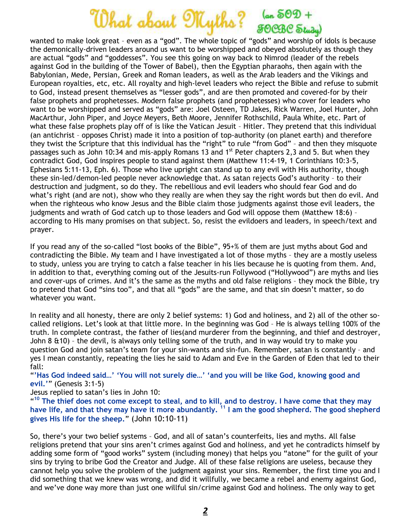## What about Myths? (an 502 +

wanted to make look great – even as a "god". The whole topic of "gods" and worship of idols is because the demonically-driven leaders around us want to be worshipped and obeyed absolutely as though they are actual "gods" and "goddesses". You see this going on way back to Nimrod (leader of the rebels against God in the building of the Tower of Babel), then the Egyptian pharaohs, then again with the Babylonian, Mede, Persian, Greek and Roman leaders, as well as the Arab leaders and the Vikings and European royalties, etc, etc. All royalty and high-level leaders who reject the Bible and refuse to submit to God, instead present themselves as "lesser gods", and are then promoted and covered-for by their false prophets and prophetesses. Modern false prophets (and prophetesses) who cover for leaders who want to be worshipped and served as "gods" are: Joel Osteen, TD Jakes, Rick Warren, Joel Hunter, John MacArthur, John Piper, and Joyce Meyers, Beth Moore, Jennifer Rothschild, Paula White, etc. Part of what these false prophets play off of is like the Vatican Jesuit – Hitler. They pretend that this individual (an antichrist – opposes Christ) made it into a position of top-authority (on planet earth) and therefore they twist the Scripture that this individual has the "right" to rule "from God" – and then they misquote passages such as John 10:34 and mis-apply Romans 13 and 1<sup>st</sup> Peter chapters 2,3 and 5. But when they contradict God, God inspires people to stand against them (Matthew 11:4-19, 1 Corinthians 10:3-5, Ephesians 5:11-13, Eph. 6). Those who live upright can stand up to any evil with His authority, though these sin-led/demon-led people never acknowledge that. As satan rejects God's authority – to their destruction and judgment, so do they. The rebellious and evil leaders who should fear God and do what's right (and are not), show who they really are when they say the right words but then do evil. And when the righteous who know Jesus and the Bible claim those judgments against those evil leaders, the judgments and wrath of God catch up to those leaders and God will oppose them (Matthew 18:6) – according to His many promises on that subject. So, resist the evildoers and leaders, in speech/text and prayer.

If you read any of the so-called "lost books of the Bible", 95+% of them are just myths about God and contradicting the Bible. My team and I have investigated a lot of those myths – they are a mostly useless to study, unless you are trying to catch a false teacher in his lies because he is quoting from them. And, in addition to that, everything coming out of the Jesuits-run Follywood ("Hollywood") are myths and lies and cover-ups of crimes. And it's the same as the myths and old false religions – they mock the Bible, try to pretend that God "sins too", and that all "gods" are the same, and that sin doesn't matter, so do whatever you want.

In reality and all honesty, there are only 2 belief systems: 1) God and holiness, and 2) all of the other socalled religions. Let's look at that little more. In the beginning was God – He is always telling 100% of the truth. In complete contrast, the father of lies(and murderer from the beginning, and thief and destroyer, John 8 &10) – the devil, is always only telling some of the truth, and in way would try to make you question God and join satan's team for your sin-wants and sin-fun. Remember, satan is constantly – and yes I mean constantly, repeating the lies he said to Adam and Eve in the Garden of Eden that led to their fall:

"**'Has God indeed said…' 'You will not surely die…' 'and you will be like God, knowing good and evil.'**" (Genesis 3:1-5)

Jesus replied to satan's lies in John 10:

<sup>410</sup> The thief does not come except to steal, and to kill, and to destroy. I have come that they may **have life, and that they may have it more abundantly. <sup>11</sup> I am the good shepherd. The good shepherd gives His life for the sheep.**" (John 10:10-11)

So, there's your two belief systems – God, and all of satan's counterfeits, lies and myths. All false religions pretend that your sins aren't crimes against God and holiness, and yet he contradicts himself by adding some form of "good works" system (including money) that helps you "atone" for the guilt of your sins by trying to bribe God the Creator and Judge. All of these false religions are useless, because they cannot help you solve the problem of the judgment against your sins. Remember, the first time you and I did something that we knew was wrong, and did it willfully, we became a rebel and enemy against God, and we've done way more than just one willful sin/crime against God and holiness. The only way to get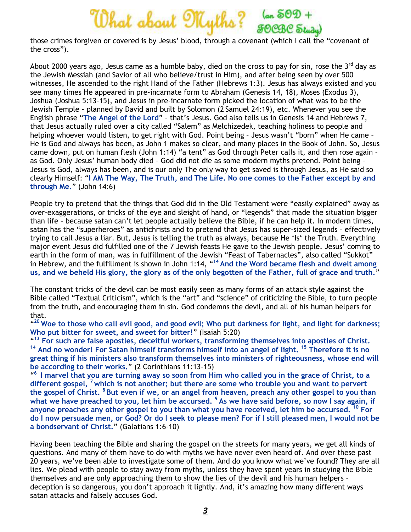

those crimes forgiven or covered is by Jesus' blood, through a covenant (which I call the "covenant of the cross").

About 2000 years ago, Jesus came as a humble baby, died on the cross to pay for sin, rose the  $3<sup>rd</sup>$  day as the Jewish Messiah (and Savior of all who believe/trust in Him), and after being seen by over 500 witnesses, He ascended to the right Hand of the Father (Hebrews 1:3). Jesus has always existed and you see many times He appeared in pre-incarnate form to Abraham (Genesis 14, 18), Moses (Exodus 3), Joshua (Joshua 5:13-15), and Jesus in pre-incarnate form picked the location of what was to be the Jewish Temple - planned by David and built by Solomon (2 Samuel 24:19), etc. Whenever you see the English phrase "**The Angel of the Lord**" – that's Jesus. God also tells us in Genesis 14 and Hebrews 7, that Jesus actually ruled over a city called "Salem" as Melchizedek, teaching holiness to people and helping whoever would listen, to get right with God. Point being – Jesus wasn't "born" when He came – He is God and always has been, as John 1 makes so clear, and many places in the Book of John. So, Jesus came down, put on human flesh (John 1:14) "a tent" as God through Peter calls it, and then rose again – as God. Only Jesus' human body died – God did not die as some modern myths pretend. Point being – Jesus is God, always has been, and is our only The only way to get saved is through Jesus, as He said so clearly Himself: "**I AM The Way, The Truth, and The Life. No one comes to the Father except by and through Me.**" (John 14:6)

People try to pretend that the things that God did in the Old Testament were "easily explained" away as over-exaggerations, or tricks of the eye and sleight of hand, or "legends" that made the situation bigger than life – because satan can't let people actually believe the Bible, if he can help it. In modern times, satan has the "superheroes" as antichrists and to pretend that Jesus has super-sized legends – effectively trying to call Jesus a liar. But, Jesus is telling the truth as always, because He \*Is\* the Truth. Everything major event Jesus did fulfilled one of the 7 Jewish feasts He gave to the Jewish people. Jesus' coming to earth in the form of man, was in fulfillment of the Jewish "Feast of Tabernacles", also called "Sukkot" in Hebrew, and the fulfillment is shown in John 1:14, "**<sup>14</sup>And the Word became flesh and dwelt among us, and we beheld His glory, the glory as of the only begotten of the Father, full of grace and truth.**"

The constant tricks of the devil can be most easily seen as many forms of an attack style against the Bible called "Textual Criticism", which is the "art" and "science" of criticizing the Bible, to turn people from the truth, and encouraging them in sin. God condemns the devil, and all of his human helpers for that.

" **<sup>20</sup>Woe to those who call evil good, and good evil; Who put darkness for light, and light for darkness; Who put bitter for sweet, and sweet for bitter!**" (Isaiah 5:20)

" **<sup>13</sup> For such are false apostles, deceitful workers, transforming themselves into apostles of Christ. <sup>14</sup> And no wonder! For Satan himself transforms himself into an angel of light. <sup>15</sup> Therefore it is no great thing if his ministers also transform themselves into ministers of righteousness, whose end will be according to their works.**" (2 Corinthians 11:13-15)

" **<sup>6</sup>I marvel that you are turning away so soon from Him who called you in the grace of Christ, to a different gospel, <sup>7</sup>which is not another; but there are some who trouble you and want to pervert the gospel of Christ. <sup>8</sup>But even if we, or an angel from heaven, preach any other gospel to you than**  what we have preached to you, let him be accursed. <sup>9</sup> As we have said before, so now I say again, if **anyone preaches any other gospel to you than what you have received, let him be accursed. <sup>10</sup> For do I now persuade men, or God? Or do I seek to please men? For if I still pleased men, I would not be a bondservant of Christ.**" (Galatians 1:6-10)

Having been teaching the Bible and sharing the gospel on the streets for many years, we get all kinds of questions. And many of them have to do with myths we have never even heard of. And over these past 20 years, we've been able to investigate some of them. And do you know what we've found? They are all lies. We plead with people to stay away from myths, unless they have spent years in studying the Bible themselves and are only approaching them to show the lies of the devil and his human helpers – deception is so dangerous, you don't approach it lightly. And, it's amazing how many different ways satan attacks and falsely accuses God.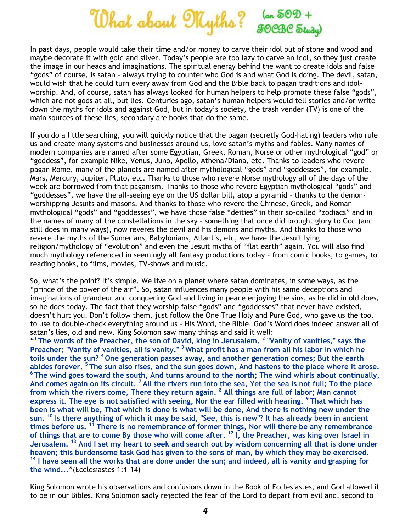

In past days, people would take their time and/or money to carve their idol out of stone and wood and maybe decorate it with gold and silver. Today's people are too lazy to carve an idol, so they just create the image in our heads and imaginations. The spiritual energy behind the want to create idols and false "gods" of course, is satan – always trying to counter who God is and what God is doing. The devil, satan, would wish that he could turn every away from God and the Bible back to pagan traditions and idolworship. And, of course, satan has always looked for human helpers to help promote these false "gods", which are not gods at all, but lies. Centuries ago, satan's human helpers would tell stories and/or write down the myths for idols and against God, but in today's society, the trash vender (TV) is one of the main sources of these lies, secondary are books that do the same.

If you do a little searching, you will quickly notice that the pagan (secretly God-hating) leaders who rule us and create many systems and businesses around us, love satan's myths and fables. Many names of modern companies are named after some Egyptian, Greek, Roman, Norse or other mythological "god" or "goddess", for example Nike, Venus, Juno, Apollo, Athena/Diana, etc. Thanks to leaders who revere pagan Rome, many of the planets are named after mythological "gods" and "goddesses", for example, Mars, Mercury, Jupiter, Pluto, etc. Thanks to those who revere Norse mythology all of the days of the week are borrowed from that paganism. Thanks to those who revere Egyptian mythological "gods" and "goddesses", we have the all-seeing eye on the US dollar bill, atop a pyramid – thanks to the demonworshipping Jesuits and masons. And thanks to those who revere the Chinese, Greek, and Roman mythological "gods" and "goddesses", we have those false "deities" in their so-called "zodiacs" and in the names of many of the constellations in the sky – something that once did brought glory to God (and still does in many ways), now reveres the devil and his demons and myths. And thanks to those who revere the myths of the Sumerians, Babylonians, Atlantis, etc, we have the Jesuit lying religion/mythology of "evolution" and even the Jesuit myths of "flat earth" again. You will also find much mythology referenced in seemingly all fantasy productions today – from comic books, to games, to reading books, to films, movies, TV-shows and music.

So, what's the point? It's simple. We live on a planet where satan dominates, in some ways, as the "prince of the power of the air". So, satan influences many people with his same deceptions and imaginations of grandeur and conquering God and living in peace enjoying the sins, as he did in old does, so he does today. The fact that they worship false "gods" and "goddesses" that never have existed, doesn't hurt you. Don't follow them, just follow the One True Holy and Pure God, who gave us the tool to use to double-check everything around us – His Word, the Bible. God's Word does indeed answer all of satan's lies, old and new. King Solomon saw many things and said it well:

" **<sup>1</sup>The words of the Preacher, the son of David, king in Jerusalem. <sup>2</sup> "Vanity of vanities," says the Preacher; "Vanity of vanities, all is vanity." <sup>3</sup>What profit has a man from all his labor In which he toils under the sun? <sup>4</sup>One generation passes away, and another generation comes; But the earth abides forever. <sup>5</sup>The sun also rises, and the sun goes down, And hastens to the place where it arose. <sup>6</sup>The wind goes toward the south, And turns around to the north; The wind whirls about continually, And comes again on its circuit. <sup>7</sup>All the rivers run into the sea, Yet the sea is not full; To the place from which the rivers come, There they return again. <sup>8</sup> All things are full of labor; Man cannot express it. The eye is not satisfied with seeing, Nor the ear filled with hearing. <sup>9</sup>That which has been is what will be, That which is done is what will be done, And there is nothing new under the sun. <sup>10</sup> Is there anything of which it may be said, "See, this is new"? It has already been in ancient times before us. <sup>11</sup> There is no remembrance of former things, Nor will there be any remembrance of things that are to come By those who will come after. <sup>12</sup> I, the Preacher, was king over Israel in Jerusalem. <sup>13</sup> And I set my heart to seek and search out by wisdom concerning all that is done under heaven; this burdensome task God has given to the sons of man, by which they may be exercised. <sup>14</sup> I have seen all the works that are done under the sun; and indeed, all is vanity and grasping for the wind...**"(Ecclesiastes 1:1-14)

King Solomon wrote his observations and confusions down in the Book of Ecclesiastes, and God allowed it to be in our Bibles. King Solomon sadly rejected the fear of the Lord to depart from evil and, second to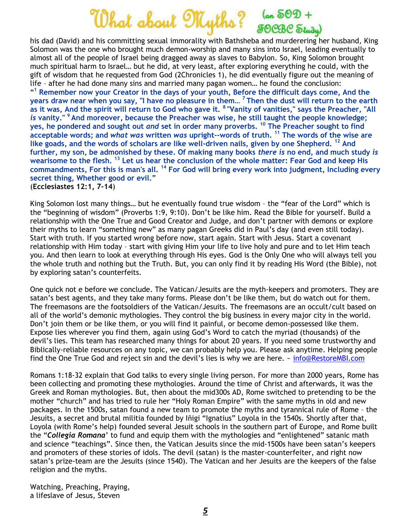## What about Myths? (an 502 +

his dad (David) and his committing sexual immorality with Bathsheba and murderering her husband, King Solomon was the one who brought much demon-worship and many sins into Israel, leading eventually to almost all of the people of Israel being dragged away as slaves to Babylon. So, King Solomon brought much spiritual harm to Israel… but he did, at very least, after exploring everything he could, with the gift of wisdom that he requested from God (2Chronicles 1), he did eventually figure out the meaning of life – after he had done many sins and married many pagan women… he found the conclusion: " **<sup>1</sup> Remember now your Creator in the days of your youth, Before the difficult days come, And the years draw near when you say, "I have no pleasure in them… <sup>7</sup>Then the dust will return to the earth as it was, And the spirit will return to God who gave it. <sup>8</sup>"Vanity of vanities," says the Preacher, "All**  *is* **vanity." <sup>9</sup>And moreover, because the Preacher was wise, he still taught the people knowledge; yes, he pondered and sought out** *and* **set in order many proverbs. <sup>10</sup> The Preacher sought to find acceptable words; and** *what was* **written** *was* **upright--words of truth. <sup>11</sup> The words of the wise are like goads, and the words of scholars are like well-driven nails, given by one Shepherd. <sup>12</sup> And further, my son, be admonished by these. Of making many books** *there is* **no end, and much study** *is* **wearisome to the flesh. <sup>13</sup> Let us hear the conclusion of the whole matter: Fear God and keep His commandments, For this is man's all. <sup>14</sup> For God will bring every work into judgment, Including every secret thing, Whether good or evil.**" (**Ecclesiastes 12:1, 7-14**)

King Solomon lost many things… but he eventually found true wisdom – the "fear of the Lord" which is the "beginning of wisdom" (Proverbs 1:9, 9:10). Don't be like him. Read the Bible for yourself. Build a relationship with the One True and Good Creator and Judge, and don't partner with demons or explore their myths to learn "something new" as many pagan Greeks did in Paul's day (and even still today). Start with truth. If you started wrong before now, start again. Start with Jesus. Start a covenant relationship with Him today – start with giving Him your life to live holy and pure and to let Him teach you. And then learn to look at everything through His eyes. God is the Only One who will always tell you the whole truth and nothing but the Truth. But, you can only find it by reading His Word (the Bible), not by exploring satan's counterfeits.

One quick not e before we conclude. The Vatican/Jesuits are the myth-keepers and promoters. They are satan's best agents, and they take many forms. Please don't be like them, but do watch out for them. The freemasons are the footsoldiers of the Vatican/Jesuits. The freemasons are an occult/cult based on all of the world's demonic mythologies. They control the big business in every major city in the world. Don't join them or be like them, or you will find it painful, or become demon-possessed like them. Expose lies wherever you find them, again using God's Word to catch the myriad (thousands) of the devil's lies. This team has researched many things for about 20 years. If you need some trustworthy and Biblically-reliable resources on any topic, we can probably help you. Please ask anytime. Helping people find the One True God and reject sin and the devil's lies is why we are here. ~ [info@RestoreMBI.com](mailto:info@RestoreMBI.com)

Romans 1:18-32 explain that God talks to every single living person. For more than 2000 years, Rome has been collecting and promoting these mythologies. Around the time of Christ and afterwards, it was the Greek and Roman mythologies. But, then about the mid300s AD, Rome switched to pretending to be the mother "church" and has tried to rule her "Holy Roman Empire" with the same myths in old and new packages. In the 1500s, satan found a new team to promote the myths and tyrannical rule of Rome – the Jesuits, a secret and brutal militia founded by Iñigi "Ignatius" Loyola in the 1540s. Shortly after that, Loyola (with Rome's help) founded several Jesuit schools in the southern part of Europe, and Rome built the "*Collegia Romana*' to fund and equip them with the mythologies and "enlightened" satanic math and science "teachings". Since then, the Vatican Jesuits since the mid-1500s have been satan's keepers and promoters of these stories of idols. The devil (satan) is the master-counterfeiter, and right now satan's prize-team are the Jesuits (since 1540). The Vatican and her Jesuits are the keepers of the false religion and the myths.

Watching, Preaching, Praying, a lifeslave of Jesus, Steven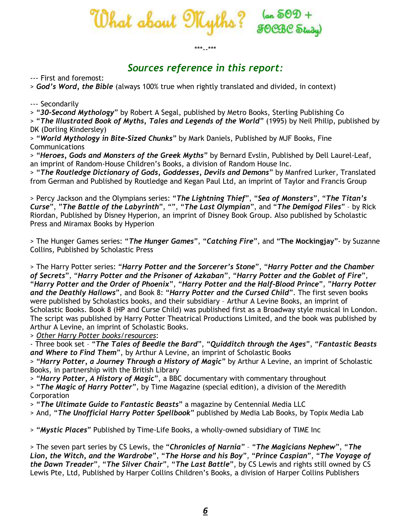

## \*\*\*--\*\*\*

## *Sources reference in this report:*

--- First and foremost:

> *God's Word, the Bible* (always 100% true when rightly translated and divided, in context)

--- Secondarily

> "*30-Second Mythology*" by Robert A Segal, published by Metro Books, Sterling Publishing Co

> "*The Illustrated Book of Myths, Tales and Legends of the World*" (1995) by Neil Philip, published by DK (Dorling Kindersley)

> "*World Mythology in Bite-Sized Chunks*" by Mark Daniels, Published by MJF Books, Fine Communications

> "*Heroes, Gods and Monsters of the Greek Myths*" by Bernard Evslin, Published by Dell Laurel-Leaf, an imprint of Random-House Children's Books, a division of Random House Inc.

> "*The Routledge Dictionary of Gods, Goddesses, Devils and Demons*" by Manfred Lurker, Translated from German and Published by Routledge and Kegan Paul Ltd, an imprint of Taylor and Francis Group

> Percy Jackson and the Olympians series: "*The Lightning Thief*", "*Sea of Monsters*", "*The Titan's Curse*", "*The Battle of the Labyrinth*", "", "*The Last Olympian*", and "*The Demigod Files*" – by Rick Riordan, Published by Disney Hyperion, an imprint of Disney Book Group. Also published by Scholastic Press and Miramax Books by Hyperion

> The Hunger Games series: "*The Hunger Games*", "*Catching Fire*", and "**The Mockingjay**"- by Suzanne Collins, Published by Scholastic Press

> The Harry Potter series: "*Harry Potter and the Sorcerer's Stone*", "*Harry Potter and the Chamber of Secrets*", "*Harry Potter and the Prisoner of Azkaban*", "*Harry Potter and the Goblet of Fire*", "*Harry Potter and the Order of Phoenix*", "*Harry Potter and the Half-Blood Prince*", "*Harry Potter and the Deathly Hallows*", and Book 8: "*Harry Potter and the Cursed Child*". The first seven books were published by Scholastics books, and their subsidiary – Arthur A Levine Books, an imprint of Scholastic Books. Book 8 (HP and Curse Child) was published first as a Broadway style musical in London. The script was published by Harry Potter Theatrical Productions Limited, and the book was published by Arthur A Levine, an imprint of Scholastic Books.

> *Other Harry Potter books/resources*:

- Three book set – "*The Tales of Beedle the Bard*", "*Quidditch through the Ages*", "*Fantastic Beasts and Where to Find Them*", by Arthur A Levine, an imprint of Scholastic Books

> "*Harry Potter, a Journey Through a History of Magic*" by Arthur A Levine, an imprint of Scholastic Books, in partnership with the British Library

> "*Harry Potter, A History of Magic*", a BBC documentary with commentary throughout

> "*The Magic of Harry Potter*", by Time Magazine (special edition), a division of the Meredith **Corporation** 

> "*The Ultimate Guide to Fantastic Beasts*" a magazine by Centennial Media LLC

> And, "*The Unofficial Harry Potter Spellbook*" published by Media Lab Books, by Topix Media Lab

> "*Mystic Places*" Published by Time-Life Books, a wholly-owned subsidiary of TIME Inc

> The seven part series by CS Lewis, the "*Chronicles of Narnia*" – "*The Magicians Nephew*", "*The Lion, the Witch, and the Wardrobe*", "*The Horse and his Boy*", "*Prince Caspian*", "*The Voyage of the Dawn Treader*", "*The Silver Chair*", "*The Last Battle*", by CS Lewis and rights still owned by CS Lewis Pte, Ltd, Published by Harper Collins Children's Books, a division of Harper Collins Publishers